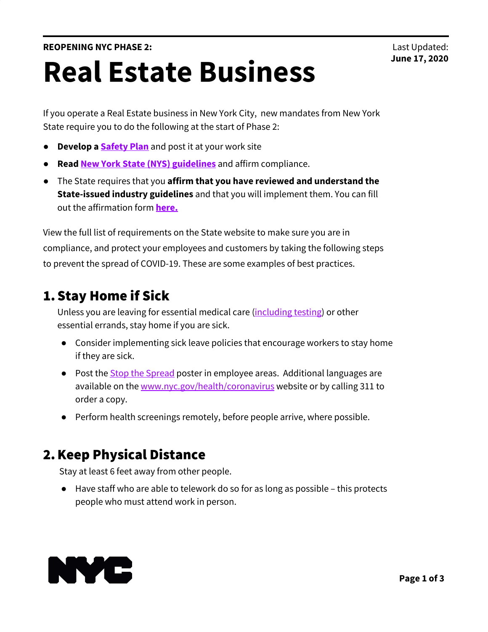If you operate a Real Estate business in New York City, new mandates from New York State require you to do the following at the start of Phase 2:

- **Develop a <b>[Safety](https://www.governor.ny.gov/sites/governor.ny.gov/files/atoms/files/NYS_BusinessReopeningSafetyPlanTemplate.pdf) Plan** and post it at your work site
- **Read New York State (NYS) [guidelines](https://www.governor.ny.gov/sites/governor.ny.gov/files/atoms/files/HairSalonsAndBarbershopMasterGuidance.pdf)** and affirm compliance.
- The State requires that you **affirm that you have reviewed and understand the State-issued industry guidelines** and that you will implement them. You can fill out the affirmation form **[here.](https://forms.ny.gov/s3/ny-forward-affirmation)**

View the full list of requirements on the State website to make sure you are in compliance, and protect your employees and customers by taking the following steps to prevent the spread of COVID-19. These are some examples of best practices.

## 1.Stay Home if Sick

Unless you are leaving for essential medical care ([including](https://www1.nyc.gov/site/coronavirus/get-tested/covid-19-testing.page) testing) or other essential errands, stay home if you are sick.

- Consider implementing sick leave policies that encourage workers to stay home if they are sick.
- Post the **Stop the [Spread](https://www1.nyc.gov/assets/doh/downloads/pdf/imm/covid-19-prevent-spread-poster.pdf)** poster in employee areas. Additional languages are available on the [www.nyc.gov/health/coronavirus](http://www.nyc.gov/health/coronavirus) website or by calling 311 to order a copy.
- Perform health screenings remotely, before people arrive, where possible.

## 2.Keep Physical Distance

Stay at least 6 feet away from other people.

● Have staff who are able to telework do so for as long as possible – this protects people who must attend work in person.

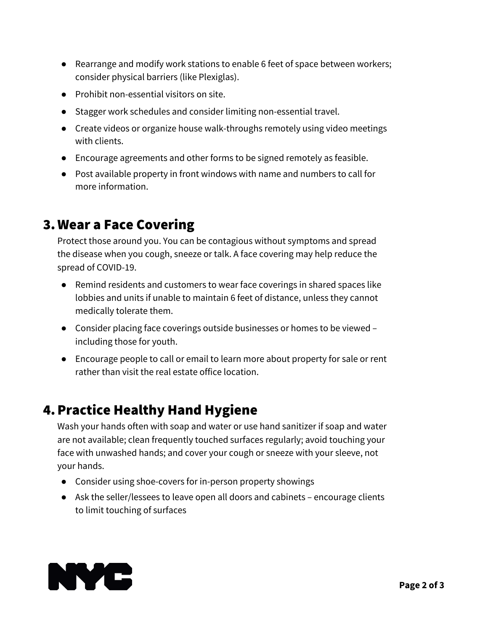- Rearrange and modify work stations to enable 6 feet of space between workers; consider physical barriers (like Plexiglas).
- Prohibit non-essential visitors on site.
- Stagger work schedules and consider limiting non-essential travel.
- Create videos or organize house walk-throughs remotely using video meetings with clients.
- Encourage agreements and other forms to be signed remotely as feasible.
- Post available property in front windows with name and numbers to call for more information.

## 3. Wear a Face Covering

Protect those around you. You can be contagious without symptoms and spread the disease when you cough, sneeze or talk. A face covering may help reduce the spread of COVID-19.

- Remind residents and customers to wear face coverings in shared spaces like lobbies and units if unable to maintain 6 feet of distance, unless they cannot medically tolerate them.
- Consider placing face coverings outside businesses or homes to be viewed including those for youth.
- Encourage people to call or email to learn more about property for sale or rent rather than visit the real estate office location.

## 4.Practice Healthy Hand Hygiene

Wash your hands often with soap and water or use hand sanitizer if soap and water are not available; clean frequently touched surfaces regularly; avoid touching your face with unwashed hands; and cover your cough or sneeze with your sleeve, not your hands.

- Consider using shoe-covers for in-person property showings
- Ask the seller/lessees to leave open all doors and cabinets encourage clients to limit touching of surfaces